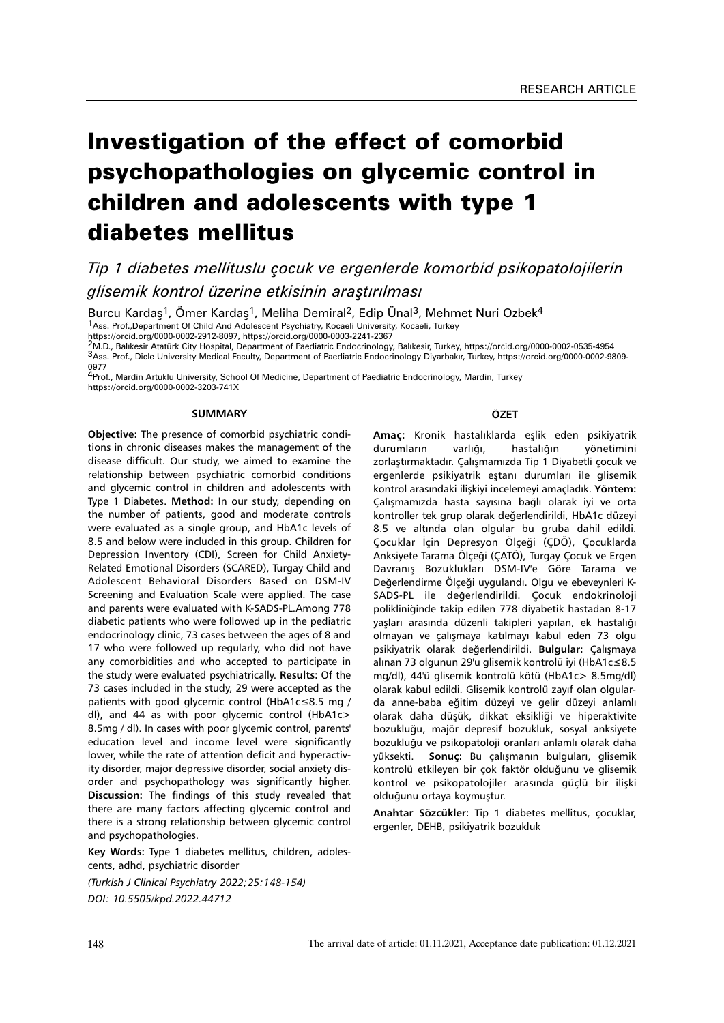# Investigation of the effect of comorbid psychopathologies on glycemic control in children and adolescents with type 1 diabetes mellitus

*Tip 1 diabetes mellituslu çocuk ve ergenlerde komorbid psikopatolojilerin glisemik kontrol üzerine etkisinin araştırılması*

Burcu Kardaş<sup>1</sup>, Ömer Kardaş<sup>1</sup>, Meliha Demiral<sup>2</sup>, Edip Ünal<sup>3</sup>, Mehmet Nuri Ozbek<sup>4</sup>

1Ass. Prof.,Department Of Child And Adolescent Psychiatry, Kocaeli University, Kocaeli, Turkey

https://orcid.org/0000-0002-2912-8097, https://orcid.org/0000-0003-2241-2367

2M.D., Balıkesir Atatürk City Hospital, Department of Paediatric Endocrinology, Balıkesir, Turkey, https://orcid.org/0000-0002-0535-4954 3Ass. Prof., Dicle University Medical Faculty, Department of Paediatric Endocrinology Diyarbakır, Turkey, https://orcid.org/0000-0002-9809- 0977

4Prof., Mardin Artuklu University, School Of Medicine, Department of Paediatric Endocrinology, Mardin, Turkey https://orcid.org/0000-0002-3203-741X

#### **SUMMARY**

**Objective:** The presence of comorbid psychiatric conditions in chronic diseases makes the management of the disease difficult. Our study, we aimed to examine the relationship between psychiatric comorbid conditions and glycemic control in children and adolescents with Type 1 Diabetes. **Method:** In our study, depending on the number of patients, good and moderate controls were evaluated as a single group, and HbA1c levels of 8.5 and below were included in this group. Children for Depression Inventory (CDI), Screen for Child Anxiety-Related Emotional Disorders (SCARED), Turgay Child and Adolescent Behavioral Disorders Based on DSM-IV Screening and Evaluation Scale were applied. The case and parents were evaluated with K-SADS-PL.Among 778 diabetic patients who were followed up in the pediatric endocrinology clinic, 73 cases between the ages of 8 and 17 who were followed up regularly, who did not have any comorbidities and who accepted to participate in the study were evaluated psychiatrically. **Results:** Of the 73 cases included in the study, 29 were accepted as the patients with good glycemic control (HbA1c≤8.5 mg / dl), and 44 as with poor glycemic control (HbA1c> 8.5mg / dl). In cases with poor glycemic control, parents' education level and income level were significantly lower, while the rate of attention deficit and hyperactivity disorder, major depressive disorder, social anxiety disorder and psychopathology was significantly higher. **Discussion:** The findings of this study revealed that there are many factors affecting glycemic control and there is a strong relationship between glycemic control and psychopathologies.

**Key Words:** Type 1 diabetes mellitus, children, adolescents, adhd, psychiatric disorder

*(Turkish J Clinical Psychiatry 2022;25:148-154) DOI: 10.5505/kpd.2022.44712*

## **ÖZET**

**Amaç:** Kronik hastalıklarda eşlik eden psikiyatrik durumların varlığı, hastalığın yönetimini zorlaştırmaktadır. Çalışmamızda Tip 1 Diyabetli çocuk ve ergenlerde psikiyatrik eştanı durumları ile glisemik kontrol arasındaki ilişkiyi incelemeyi amaçladık. **Yöntem:**  Çalışmamızda hasta sayısına bağlı olarak iyi ve orta kontroller tek grup olarak değerlendirildi, HbA1c düzeyi 8.5 ve altında olan olgular bu gruba dahil edildi. Çocuklar İçin Depresyon Ölçeği (ÇDÖ), Çocuklarda Anksiyete Tarama Ölçeği (ÇATÖ), Turgay Çocuk ve Ergen Davranış Bozuklukları DSM-IV'e Göre Tarama ve Değerlendirme Ölçeği uygulandı. Olgu ve ebeveynleri K-SADS-PL ile değerlendirildi. Çocuk endokrinoloji polikliniğinde takip edilen 778 diyabetik hastadan 8-17 yaşları arasında düzenli takipleri yapılan, ek hastalığı olmayan ve çalışmaya katılmayı kabul eden 73 olgu psikiyatrik olarak değerlendirildi. **Bulgular:** Çalışmaya alınan 73 olgunun 29'u glisemik kontrolü iyi (HbA1c≤8.5 mg/dl), 44'ü glisemik kontrolü kötü (HbA1c> 8.5mg/dl) olarak kabul edildi. Glisemik kontrolü zayıf olan olgularda anne-baba eğitim düzeyi ve gelir düzeyi anlamlı olarak daha düşük, dikkat eksikliği ve hiperaktivite bozukluğu, majör depresif bozukluk, sosyal anksiyete bozukluğu ve psikopatoloji oranları anlamlı olarak daha yüksekti. **Sonuç:** Bu çalışmanın bulguları, glisemik kontrolü etkileyen bir çok faktör olduğunu ve glisemik kontrol ve psikopatolojiler arasında güçlü bir ilişki olduğunu ortaya koymuştur.

**Anahtar Sözcükler:** Tip 1 diabetes mellitus, çocuklar, ergenler, DEHB, psikiyatrik bozukluk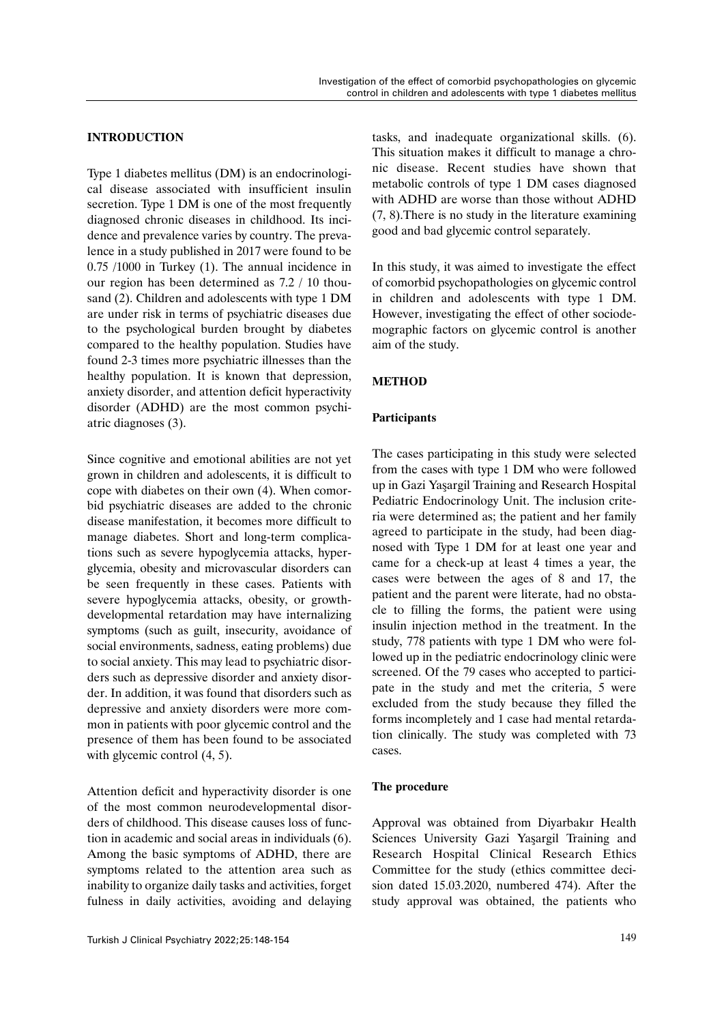## **INTRODUCTION**

Type 1 diabetes mellitus (DM) is an endocrinological disease associated with insufficient insulin secretion. Type 1 DM is one of the most frequently diagnosed chronic diseases in childhood. Its incidence and prevalence varies by country. The prevalence in a study published in 2017 were found to be 0.75 /1000 in Turkey (1). The annual incidence in our region has been determined as 7.2 / 10 thousand (2). Children and adolescents with type 1 DM are under risk in terms of psychiatric diseases due to the psychological burden brought by diabetes compared to the healthy population. Studies have found 2-3 times more psychiatric illnesses than the healthy population. It is known that depression, anxiety disorder, and attention deficit hyperactivity disorder (ADHD) are the most common psychiatric diagnoses (3).

Since cognitive and emotional abilities are not yet grown in children and adolescents, it is difficult to cope with diabetes on their own (4). When comorbid psychiatric diseases are added to the chronic disease manifestation, it becomes more difficult to manage diabetes. Short and long-term complications such as severe hypoglycemia attacks, hyperglycemia, obesity and microvascular disorders can be seen frequently in these cases. Patients with severe hypoglycemia attacks, obesity, or growthdevelopmental retardation may have internalizing symptoms (such as guilt, insecurity, avoidance of social environments, sadness, eating problems) due to social anxiety. This may lead to psychiatric disorders such as depressive disorder and anxiety disorder. In addition, it was found that disorders such as depressive and anxiety disorders were more common in patients with poor glycemic control and the presence of them has been found to be associated with glycemic control  $(4, 5)$ .

Attention deficit and hyperactivity disorder is one of the most common neurodevelopmental disorders of childhood. This disease causes loss of function in academic and social areas in individuals (6). Among the basic symptoms of ADHD, there are symptoms related to the attention area such as inability to organize daily tasks and activities, forget fulness in daily activities, avoiding and delaying tasks, and inadequate organizational skills. (6). This situation makes it difficult to manage a chronic disease. Recent studies have shown that metabolic controls of type 1 DM cases diagnosed with ADHD are worse than those without ADHD (7, 8).There is no study in the literature examining good and bad glycemic control separately.

In this study, it was aimed to investigate the effect of comorbid psychopathologies on glycemic control in children and adolescents with type 1 DM. However, investigating the effect of other sociodemographic factors on glycemic control is another aim of the study.

## **METHOD**

# **Participants**

The cases participating in this study were selected from the cases with type 1 DM who were followed up in Gazi Yaşargil Training and Research Hospital Pediatric Endocrinology Unit. The inclusion criteria were determined as; the patient and her family agreed to participate in the study, had been diagnosed with Type 1 DM for at least one year and came for a check-up at least 4 times a year, the cases were between the ages of 8 and 17, the patient and the parent were literate, had no obstacle to filling the forms, the patient were using insulin injection method in the treatment. In the study, 778 patients with type 1 DM who were followed up in the pediatric endocrinology clinic were screened. Of the 79 cases who accepted to participate in the study and met the criteria, 5 were excluded from the study because they filled the forms incompletely and 1 case had mental retardation clinically. The study was completed with 73 cases.

## **The procedure**

Approval was obtained from Diyarbakır Health Sciences University Gazi Yaşargil Training and Research Hospital Clinical Research Ethics Committee for the study (ethics committee decision dated 15.03.2020, numbered 474). After the study approval was obtained, the patients who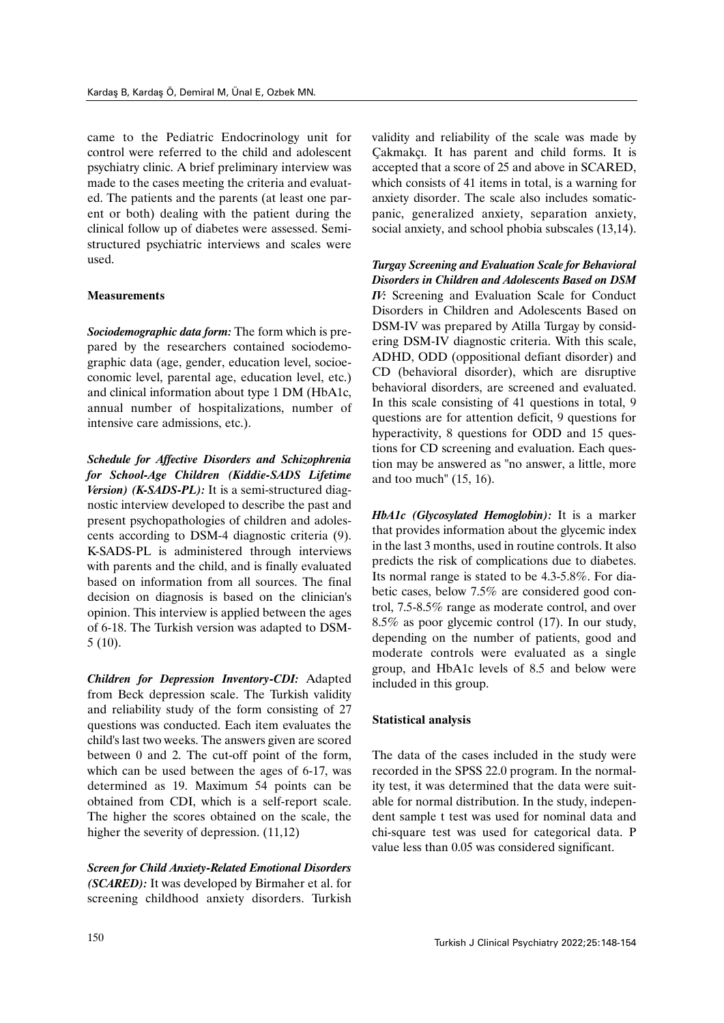came to the Pediatric Endocrinology unit for control were referred to the child and adolescent psychiatry clinic. A brief preliminary interview was made to the cases meeting the criteria and evaluated. The patients and the parents (at least one parent or both) dealing with the patient during the clinical follow up of diabetes were assessed. Semistructured psychiatric interviews and scales were used.

## **Measurements**

*Sociodemographic data form:* The form which is prepared by the researchers contained sociodemographic data (age, gender, education level, socioeconomic level, parental age, education level, etc.) and clinical information about type 1 DM (HbA1c, annual number of hospitalizations, number of intensive care admissions, etc.).

*Schedule for Affective Disorders and Schizophrenia for School-Age Children (Kiddie-SADS Lifetime Version) (K-SADS-PL):* It is a semi-structured diagnostic interview developed to describe the past and present psychopathologies of children and adolescents according to DSM-4 diagnostic criteria (9). K-SADS-PL is administered through interviews with parents and the child, and is finally evaluated based on information from all sources. The final decision on diagnosis is based on the clinician's opinion. This interview is applied between the ages of 6-18. The Turkish version was adapted to DSM-5 (10).

*Children for Depression Inventory-CDI:* Adapted from Beck depression scale. The Turkish validity and reliability study of the form consisting of 27 questions was conducted. Each item evaluates the child's last two weeks. The answers given are scored between 0 and 2. The cut-off point of the form, which can be used between the ages of 6-17, was determined as 19. Maximum 54 points can be obtained from CDI, which is a self-report scale. The higher the scores obtained on the scale, the higher the severity of depression.  $(11,12)$ 

*Screen for Child Anxiety-Related Emotional Disorders (SCARED):* It was developed by Birmaher et al. for screening childhood anxiety disorders. Turkish

validity and reliability of the scale was made by Çakmakçı. It has parent and child forms. It is accepted that a score of 25 and above in SCARED, which consists of 41 items in total, is a warning for anxiety disorder. The scale also includes somaticpanic, generalized anxiety, separation anxiety, social anxiety, and school phobia subscales (13,14).

*Turgay Screening and Evaluation Scale for Behavioral Disorders in Children and Adolescents Based on DSM IV:* Screening and Evaluation Scale for Conduct Disorders in Children and Adolescents Based on DSM-IV was prepared by Atilla Turgay by considering DSM-IV diagnostic criteria. With this scale, ADHD, ODD (oppositional defiant disorder) and CD (behavioral disorder), which are disruptive behavioral disorders, are screened and evaluated. In this scale consisting of 41 questions in total, 9 questions are for attention deficit, 9 questions for hyperactivity, 8 questions for ODD and 15 questions for CD screening and evaluation. Each question may be answered as ''no answer, a little, more and too much'' (15, 16).

*HbA1c (Glycosylated Hemoglobin):* It is a marker that provides information about the glycemic index in the last 3 months, used in routine controls. It also predicts the risk of complications due to diabetes. Its normal range is stated to be 4.3-5.8%. For diabetic cases, below 7.5% are considered good control, 7.5-8.5% range as moderate control, and over 8.5% as poor glycemic control (17). In our study, depending on the number of patients, good and moderate controls were evaluated as a single group, and HbA1c levels of 8.5 and below were included in this group.

#### **Statistical analysis**

The data of the cases included in the study were recorded in the SPSS 22.0 program. In the normality test, it was determined that the data were suitable for normal distribution. In the study, independent sample t test was used for nominal data and chi-square test was used for categorical data. P value less than 0.05 was considered significant.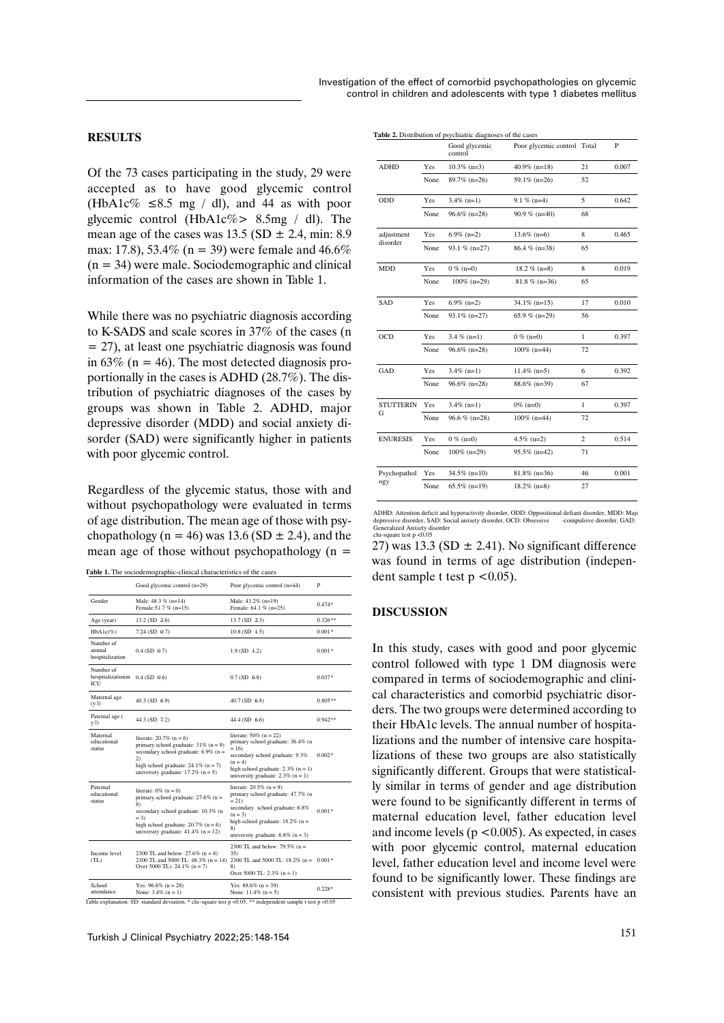#### **RESULTS**

Of the 73 cases participating in the study, 29 were accepted as to have good glycemic control (HbA1c%  $\leq$ 8.5 mg / dl), and 44 as with poor glycemic control (HbA1c% $> 8.5$ mg / dl). The mean age of the cases was  $13.5$  (SD  $\pm$  2.4, min: 8.9 max: 17.8), 53.4% ( $n = 39$ ) were female and 46.6%  $(n = 34)$  were male. Sociodemographic and clinical information of the cases are shown in Table 1.

While there was no psychiatric diagnosis according to K-SADS and scale scores in 37% of the cases (n  $= 27$ ), at least one psychiatric diagnosis was found in 63% ( $n = 46$ ). The most detected diagnosis proportionally in the cases is ADHD (28.7%). The distribution of psychiatric diagnoses of the cases by groups was shown in Table 2. ADHD, major depressive disorder (MDD) and social anxiety disorder (SAD) were significantly higher in patients with poor glycemic control.

Regardless of the glycemic status, those with and without psychopathology were evaluated in terms of age distribution. The mean age of those with psychopathology ( $n = 46$ ) was 13.6 (SD  $\pm$  2.4), and the mean age of those without psychopathology (n =  $27$ ) was 13.3 (SD  $\pm$  2.41). No significant difference

|                                        | Good glycemic control (n=29)                                                                                                                                                                                | Poor glycemic control (n=44)                                                                                                                                                                                   | P         |
|----------------------------------------|-------------------------------------------------------------------------------------------------------------------------------------------------------------------------------------------------------------|----------------------------------------------------------------------------------------------------------------------------------------------------------------------------------------------------------------|-----------|
| Gender                                 | Male: $48.3 \%$ (n=14)<br>Female: 51.7 % (n=15)                                                                                                                                                             | Male: 43.2% (n=19)<br>Female: 64.1 % (n=25)                                                                                                                                                                    | $0.474*$  |
| Age (year)                             | 13.2(SD 2.6)                                                                                                                                                                                                | 13.7(SD 2.3)                                                                                                                                                                                                   | $0.326**$ |
| $HbA1c(\%)$                            | $7.24$ (SD $\,0.7)$ )                                                                                                                                                                                       | $10.8$ (SD $+5$ )                                                                                                                                                                                              | $0.001*$  |
| Number of<br>annual<br>hospitalization | $0.4$ (SD $0.7$ )                                                                                                                                                                                           | 1.9(SD 4.2)                                                                                                                                                                                                    | $0.001*$  |
| Number of<br>hospitalizationin<br>ICU  | $0.4$ (SD $0.6$ )                                                                                                                                                                                           | $0.7$ (SD $0.8$ )                                                                                                                                                                                              | $0.037*$  |
| Maternal age<br>(v)                    | 40.3 (SD 6.9)                                                                                                                                                                                               | $40.7$ (SD $6.8$ )                                                                                                                                                                                             | $0.805**$ |
| Paternal age (<br>y I)                 | 44.3 (SD 7.2)                                                                                                                                                                                               | 44.4 (SD 6.6)                                                                                                                                                                                                  | $0.942**$ |
| Maternal<br>educational<br>status      | literate: $20.7\%$ (n = 6)<br>primary school graduate: $31\%$ (n = 9)<br>secondary school graduate: $6.9\%$ (n =<br>2)<br>high school graduate: $24.1\%$ (n = 7)<br>university graduate: $17.2\%$ (n = 5)   | literate: $50\%$ (n = 22)<br>primary school graduate: 36.4% (n<br>$= 16$<br>secondary school graduate: 9.3%<br>$(n = 4)$<br>high school graduate: $2.3\%$ (n = 1)<br>university graduate: $2.3\%$ (n = 1)      | $0.002*$  |
| Paternal<br>educational<br>status      | literate: $0\%$ (n = 0)<br>primary school graduate: $27.6\%$ (n =<br>8)<br>secondary school graduate: 10.3% (n<br>$= 3$<br>high school graduate: $20.7\%$ (n = 6)<br>university graduate: $41.4\%$ (n = 12) | literate: $20.5\%$ (n = 9)<br>primary school graduate: 47.7% (n<br>$= 21$<br>secondary school graduate: 6.8%<br>$(n = 3)$<br>high school graduate: $18.2\%$ (n =<br>8)<br>university graduate: $6.8\%$ (n = 3) | $0.001*$  |
| Income level<br>(TL)                   | 2300 TL and below: $27.6\%$ (n = 8)<br>2300 TL and 5000 TL: 48.3% (n = 14) 2300 TL and 5000 TL: $18.2\%$ (n = 0.001 <sup>*</sup><br>Over 5000 TL): 24.1% ( $n = 7$ )                                        | 2300 TL and below: $79.5\%$ (n =<br>35)<br>8)<br>Over 5000 TL: $2.3\%$ (n = 1)                                                                                                                                 |           |
| School<br>attendance                   | Yes: $96.6\%$ (n = 28)<br>None: $3.4\%$ (n = 1)                                                                                                                                                             | Yes: $88.6\%$ (n = 39)<br>None: $11.4\%$ (n = 5)                                                                                                                                                               | $0.228*$  |

Table explanation: SD: standard deviation, \* chi-square test  $n \le 0.05$ , \*\* independent sample t test  $n \le 0.05$ 

|                        |      | Good glycemic<br>control | Poor glycemic control Total |                | P     |
|------------------------|------|--------------------------|-----------------------------|----------------|-------|
| <b>ADHD</b>            | Yes  | $10.3\%$ (n=3)           | $40.9\%$ (n=18)             | 21             | 0.007 |
|                        | None | $89.7\%$ (n=26)          | 59.1% $(n=26)$              | 52             |       |
| ODD                    | Yes  | $3.4\%$ (n=1)            | $9.1 \%$ (n=4)              | 5              | 0.642 |
|                        | None | $96.6\%$ (n=28)          | $90.9\%$ (n=40)             | 68             |       |
| adjustment<br>disorder | Yes  | $6.9\%$ (n=2)            | $13.6\%$ (n=6)              | 8              | 0.465 |
|                        | None | 93.1 % $(n=27)$          | $86.4\%$ (n=38)             | 65             |       |
| MDD                    | Yes  | $0 \%$ (n=0)             | 18.2 % ( $n=8$ )            | 8              | 0.019 |
|                        | None | $100\%$ (n=29)           | $81.8\%$ (n=36)             | 65             |       |
| SAD                    | Yes  | $6.9\%$ (n=2)            | $34.1\%$ (n=15)             | 17             | 0.010 |
|                        | None | 93.1% (n=27)             | 65.9 % (n=29)               | 56             |       |
| OCD                    | Yes  | 3.4 $% (n=1)$            | $0\%$ (n=0)                 | $\mathbf{1}$   | 0.397 |
|                        | None | $96.6\%$ (n=28)          | $100\%$ (n=44)              | 72             |       |
| GAD                    | Yes  | $3.4\%$ (n=1)            | $11.4\%$ (n=5)              | 6              | 0.392 |
|                        | None | 96.6% (n=28)             | 88.6% (n=39)                | 67             |       |
| <b>STUTTERIN</b><br>G  | Yes  | $3.4\%$ (n=1)            | $0\%$ (n=0)                 | $\mathbf{1}$   | 0.397 |
|                        | None | $96.6 \%$ (n=28)         | $100\%$ (n=44)              | 72             |       |
| <b>ENURESIS</b>        | Yes  | $0\%$ (n=0)              | $4.5\%$ (n=2)               | $\overline{c}$ | 0.514 |
|                        | None | $100\%$ (n=29)           | $95.5\%$ (n=42)             | 71             |       |
| Psychopathol<br>ogy    | Yes  | $34.5\%$ (n=10)          | $81.8\%$ (n=36)             | 46             | 0.001 |
|                        | None | $65.5\%$ (n=19)          | $18.2\%$ (n=8)              | 27             |       |
|                        |      |                          |                             |                |       |

ADHD: Attention deficit and hyperactivity disorder, ODD: Oppositional defiant disorder, MDD: Majdepressive disorder, SAD: Social anxiety disorder, OCD: Obsessive compulsive disorder, GAD: Generalized Anxiety disorder<br>Gener

was found in terms of age distribution (independent sample t test  $p < 0.05$ ).

#### **DISCUSSION**

In this study, cases with good and poor glycemic control followed with type 1 DM diagnosis were compared in terms of sociodemographic and clinical characteristics and comorbid psychiatric disorders. The two groups were determined according to their HbA1c levels. The annual number of hospitalizations and the number of intensive care hospitalizations of these two groups are also statistically significantly different. Groups that were statistically similar in terms of gender and age distribution were found to be significantly different in terms of maternal education level, father education level and income levels ( $p < 0.005$ ). As expected, in cases with poor glycemic control, maternal education level, father education level and income level were found to be significantly lower. These findings are consistent with previous studies. Parents have an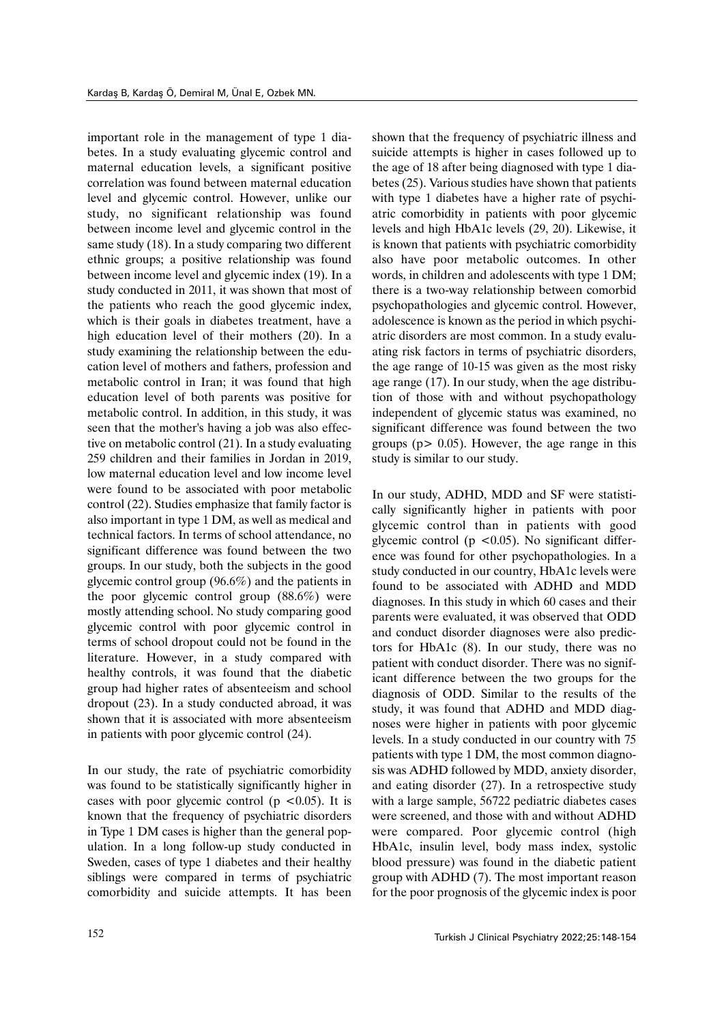important role in the management of type 1 diabetes. In a study evaluating glycemic control and maternal education levels, a significant positive correlation was found between maternal education level and glycemic control. However, unlike our study, no significant relationship was found between income level and glycemic control in the same study (18). In a study comparing two different ethnic groups; a positive relationship was found between income level and glycemic index (19). In a study conducted in 2011, it was shown that most of the patients who reach the good glycemic index, which is their goals in diabetes treatment, have a high education level of their mothers (20). In a study examining the relationship between the education level of mothers and fathers, profession and metabolic control in Iran; it was found that high education level of both parents was positive for metabolic control. In addition, in this study, it was seen that the mother's having a job was also effective on metabolic control (21). In a study evaluating 259 children and their families in Jordan in 2019, low maternal education level and low income level were found to be associated with poor metabolic control (22). Studies emphasize that family factor is also important in type 1 DM, as well as medical and technical factors. In terms of school attendance, no significant difference was found between the two groups. In our study, both the subjects in the good glycemic control group (96.6%) and the patients in the poor glycemic control group (88.6%) were mostly attending school. No study comparing good glycemic control with poor glycemic control in terms of school dropout could not be found in the literature. However, in a study compared with healthy controls, it was found that the diabetic group had higher rates of absenteeism and school dropout (23). In a study conducted abroad, it was shown that it is associated with more absenteeism in patients with poor glycemic control (24).

In our study, the rate of psychiatric comorbidity was found to be statistically significantly higher in cases with poor glycemic control ( $p \le 0.05$ ). It is known that the frequency of psychiatric disorders in Type 1 DM cases is higher than the general population. In a long follow-up study conducted in Sweden, cases of type 1 diabetes and their healthy siblings were compared in terms of psychiatric comorbidity and suicide attempts. It has been shown that the frequency of psychiatric illness and suicide attempts is higher in cases followed up to the age of 18 after being diagnosed with type 1 diabetes (25). Various studies have shown that patients with type 1 diabetes have a higher rate of psychiatric comorbidity in patients with poor glycemic levels and high HbA1c levels (29, 20). Likewise, it is known that patients with psychiatric comorbidity also have poor metabolic outcomes. In other words, in children and adolescents with type 1 DM; there is a two-way relationship between comorbid psychopathologies and glycemic control. However, adolescence is known as the period in which psychiatric disorders are most common. In a study evaluating risk factors in terms of psychiatric disorders, the age range of 10-15 was given as the most risky age range (17). In our study, when the age distribution of those with and without psychopathology independent of glycemic status was examined, no significant difference was found between the two groups (p> 0.05). However, the age range in this study is similar to our study.

In our study, ADHD, MDD and SF were statistically significantly higher in patients with poor glycemic control than in patients with good glycemic control ( $p \le 0.05$ ). No significant difference was found for other psychopathologies. In a study conducted in our country, HbA1c levels were found to be associated with ADHD and MDD diagnoses. In this study in which 60 cases and their parents were evaluated, it was observed that ODD and conduct disorder diagnoses were also predictors for HbA1c (8). In our study, there was no patient with conduct disorder. There was no significant difference between the two groups for the diagnosis of ODD. Similar to the results of the study, it was found that ADHD and MDD diagnoses were higher in patients with poor glycemic levels. In a study conducted in our country with 75 patients with type 1 DM, the most common diagnosis was ADHD followed by MDD, anxiety disorder, and eating disorder (27). In a retrospective study with a large sample, 56722 pediatric diabetes cases were screened, and those with and without ADHD were compared. Poor glycemic control (high HbA1c, insulin level, body mass index, systolic blood pressure) was found in the diabetic patient group with ADHD (7). The most important reason for the poor prognosis of the glycemic index is poor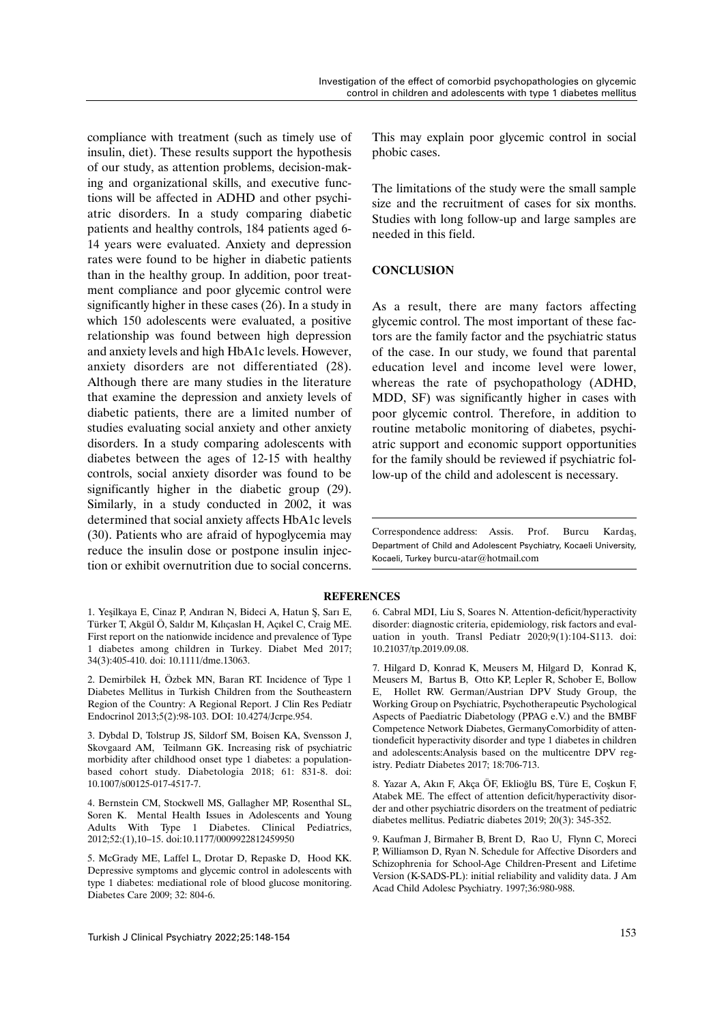compliance with treatment (such as timely use of insulin, diet). These results support the hypothesis of our study, as attention problems, decision-making and organizational skills, and executive functions will be affected in ADHD and other psychiatric disorders. In a study comparing diabetic patients and healthy controls, 184 patients aged 6- 14 years were evaluated. Anxiety and depression rates were found to be higher in diabetic patients than in the healthy group. In addition, poor treatment compliance and poor glycemic control were significantly higher in these cases (26). In a study in which 150 adolescents were evaluated, a positive relationship was found between high depression and anxiety levels and high HbA1c levels. However, anxiety disorders are not differentiated (28). Although there are many studies in the literature that examine the depression and anxiety levels of diabetic patients, there are a limited number of studies evaluating social anxiety and other anxiety disorders. In a study comparing adolescents with diabetes between the ages of 12-15 with healthy controls, social anxiety disorder was found to be significantly higher in the diabetic group (29). Similarly, in a study conducted in 2002, it was determined that social anxiety affects HbA1c levels (30). Patients who are afraid of hypoglycemia may reduce the insulin dose or postpone insulin injection or exhibit overnutrition due to social concerns.

1. Yeşilkaya E, Cinaz P, Andıran N, Bideci A, Hatun Ş, Sarı E, Türker T, Akgül Ö, Saldır M, Kılıçaslan H, Açıkel C, Craig ME. First report on the nationwide incidence and prevalence of Type 1 diabetes among children in Turkey. Diabet Med 2017; 34(3):405-410. doi: 10.1111/dme.13063.

2. Demirbilek H, Özbek MN, Baran RT. Incidence of Type 1 Diabetes Mellitus in Turkish Children from the Southeastern Region of the Country: A Regional Report. J Clin Res Pediatr Endocrinol 2013;5(2):98-103. DOI: 10.4274/Jcrpe.954.

3. Dybdal D, Tolstrup JS, Sildorf SM, Boisen KA, Svensson J, Skovgaard AM, Teilmann GK. Increasing risk of psychiatric morbidity after childhood onset type 1 diabetes: a populationbased cohort study. Diabetologia 2018; 61: 831-8. doi: 10.1007/s00125-017-4517-7.

4. Bernstein CM, Stockwell MS, Gallagher MP, Rosenthal SL, Soren K. Mental Health Issues in Adolescents and Young Adults With Type 1 Diabetes. Clinical Pediatrics, 2012;52:(1),10–15. doi:10.1177/0009922812459950

5. McGrady ME, Laffel L, Drotar D, Repaske D, Hood KK. Depressive symptoms and glycemic control in adolescents with type 1 diabetes: mediational role of blood glucose monitoring. Diabetes Care 2009; 32: 804-6.

This may explain poor glycemic control in social phobic cases.

The limitations of the study were the small sample size and the recruitment of cases for six months. Studies with long follow-up and large samples are needed in this field.

## **CONCLUSION**

As a result, there are many factors affecting glycemic control. The most important of these factors are the family factor and the psychiatric status of the case. In our study, we found that parental education level and income level were lower, whereas the rate of psychopathology (ADHD, MDD, SF) was significantly higher in cases with poor glycemic control. Therefore, in addition to routine metabolic monitoring of diabetes, psychiatric support and economic support opportunities for the family should be reviewed if psychiatric follow-up of the child and adolescent is necessary.

Correspondence address: Assis. Prof. Burcu Kardaş, Department of Child and Adolescent Psychiatry, Kocaeli University, Kocaeli, Turkey burcu-atar@hotmail.com

## **REFERENCES**

6. Cabral MDI, Liu S, Soares N. Attention-deficit/hyperactivity disorder: diagnostic criteria, epidemiology, risk factors and evaluation in youth. Transl Pediatr 2020;9(1):104-S113. doi: 10.21037/tp.2019.09.08.

7. Hilgard D, Konrad K, Meusers M, Hilgard D, Konrad K, Meusers M, Bartus B, Otto KP, Lepler R, Schober E, Bollow E, Hollet RW. German/Austrian DPV Study Group, the Working Group on Psychiatric, Psychotherapeutic Psychological Aspects of Paediatric Diabetology (PPAG e.V.) and the BMBF Competence Network Diabetes, GermanyComorbidity of attentiondeficit hyperactivity disorder and type 1 diabetes in children and adolescents:Analysis based on the multicentre DPV registry. Pediatr Diabetes 2017; 18:706-713.

8. Yazar A, Akın F, Akça ÖF, Eklioğlu BS, Türe E, Coşkun F, Atabek ME. The effect of attention deficit/hyperactivity disorder and other psychiatric disorders on the treatment of pediatric diabetes mellitus. Pediatric diabetes 2019; 20(3): 345-352.

9. Kaufman J, Birmaher B, Brent D, Rao U, Flynn C, Moreci P, Williamson D, Ryan N. Schedule for Affective Disorders and Schizophrenia for School-Age Children-Present and Lifetime Version (K-SADS-PL): initial reliability and validity data. J Am Acad Child Adolesc Psychiatry. 1997;36:980-988.